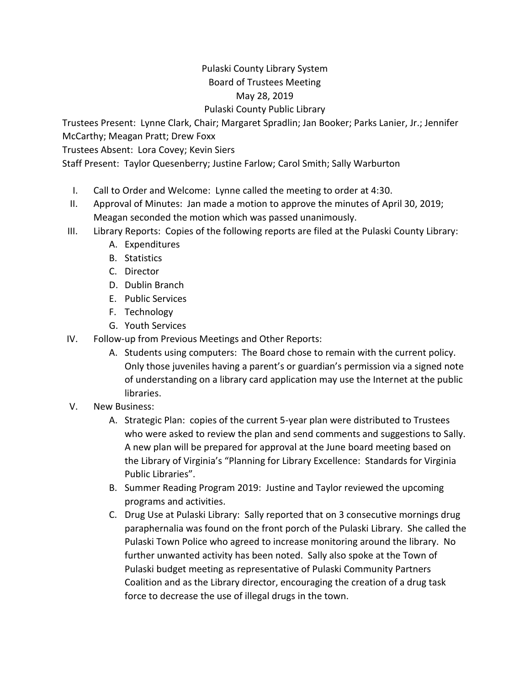## Pulaski County Library System Board of Trustees Meeting May 28, 2019 Pulaski County Public Library

Trustees Present: Lynne Clark, Chair; Margaret Spradlin; Jan Booker; Parks Lanier, Jr.; Jennifer McCarthy; Meagan Pratt; Drew Foxx

Trustees Absent: Lora Covey; Kevin Siers

Staff Present: Taylor Quesenberry; Justine Farlow; Carol Smith; Sally Warburton

- I. Call to Order and Welcome: Lynne called the meeting to order at 4:30.
- II. Approval of Minutes: Jan made a motion to approve the minutes of April 30, 2019; Meagan seconded the motion which was passed unanimously.
- III. Library Reports: Copies of the following reports are filed at the Pulaski County Library:
	- A. Expenditures
	- B. Statistics
	- C. Director
	- D. Dublin Branch
	- E. Public Services
	- F. Technology
	- G. Youth Services
- IV. Follow-up from Previous Meetings and Other Reports:
	- A. Students using computers: The Board chose to remain with the current policy. Only those juveniles having a parent's or guardian's permission via a signed note of understanding on a library card application may use the Internet at the public libraries.
- V. New Business:
	- A. Strategic Plan: copies of the current 5-year plan were distributed to Trustees who were asked to review the plan and send comments and suggestions to Sally. A new plan will be prepared for approval at the June board meeting based on the Library of Virginia's "Planning for Library Excellence: Standards for Virginia Public Libraries".
	- B. Summer Reading Program 2019: Justine and Taylor reviewed the upcoming programs and activities.
	- C. Drug Use at Pulaski Library: Sally reported that on 3 consecutive mornings drug paraphernalia was found on the front porch of the Pulaski Library. She called the Pulaski Town Police who agreed to increase monitoring around the library. No further unwanted activity has been noted. Sally also spoke at the Town of Pulaski budget meeting as representative of Pulaski Community Partners Coalition and as the Library director, encouraging the creation of a drug task force to decrease the use of illegal drugs in the town.